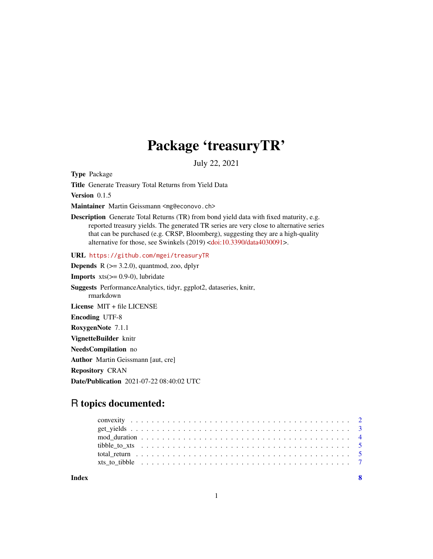# Package 'treasuryTR'

July 22, 2021

Type Package

Title Generate Treasury Total Returns from Yield Data

Version 0.1.5

Maintainer Martin Geissmann <mg@econovo.ch>

Description Generate Total Returns (TR) from bond yield data with fixed maturity, e.g. reported treasury yields. The generated TR series are very close to alternative series that can be purchased (e.g. CRSP, Bloomberg), suggesting they are a high-quality alternative for those, see Swinkels (2019) [<doi:10.3390/data4030091>](https://doi.org/10.3390/data4030091).

URL <https://github.com/mgei/treasuryTR>

**Depends**  $R$  ( $>= 3.2.0$ ), quantmod, zoo, dplyr

**Imports**  $xts(>= 0.9-0)$ , lubridate

Suggests PerformanceAnalytics, tidyr, ggplot2, dataseries, knitr, rmarkdown

License MIT + file LICENSE

Encoding UTF-8

RoxygenNote 7.1.1

VignetteBuilder knitr

NeedsCompilation no

Author Martin Geissmann [aut, cre]

Repository CRAN

Date/Publication 2021-07-22 08:40:02 UTC

## R topics documented:

**Index** [8](#page-7-0) **8**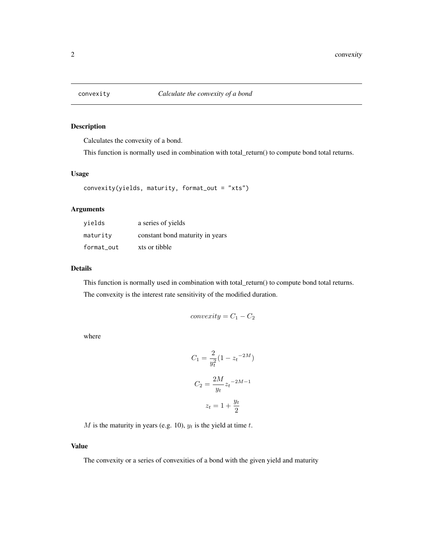<span id="page-1-0"></span>

Calculates the convexity of a bond.

This function is normally used in combination with total\_return() to compute bond total returns.

#### Usage

```
convexity(yields, maturity, format_out = "xts")
```
#### Arguments

| vields     | a series of yields              |
|------------|---------------------------------|
| maturity   | constant bond maturity in years |
| format out | xts or tibble                   |

#### Details

This function is normally used in combination with total\_return() to compute bond total returns. The convexity is the interest rate sensitivity of the modified duration.

$$
convexity = C_1 - C_2
$$

where

$$
C_1 = \frac{2}{y_t^2} (1 - z_t^{-2M})
$$

$$
C_2 = \frac{2M}{y_t} z_t^{-2M-1}
$$

$$
z_t = 1 + \frac{y_t}{2}
$$

M is the maturity in years (e.g. 10),  $y_t$  is the yield at time t.

#### Value

The convexity or a series of convexities of a bond with the given yield and maturity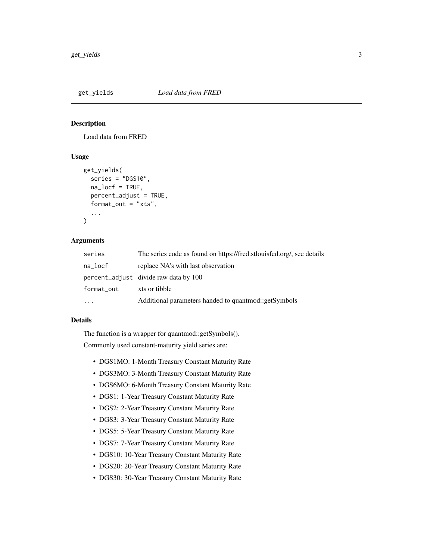<span id="page-2-0"></span>

Load data from FRED

#### Usage

```
get_yields(
  series = "DGS10",
  na_locf = TRUE,
 percent_adjust = TRUE,
  format_out = "xts",
  ...
)
```
#### Arguments

| series     | The series code as found on https://fred.stlouisfed.org/, see details |
|------------|-----------------------------------------------------------------------|
| na_locf    | replace NA's with last observation                                    |
|            | percent_adjust divide raw data by 100                                 |
| format_out | xts or tibble                                                         |
|            | Additional parameters handed to quantmod::getSymbols                  |

#### Details

The function is a wrapper for quantmod::getSymbols().

Commonly used constant-maturity yield series are:

- DGS1MO: 1-Month Treasury Constant Maturity Rate
- DGS3MO: 3-Month Treasury Constant Maturity Rate
- DGS6MO: 6-Month Treasury Constant Maturity Rate
- DGS1: 1-Year Treasury Constant Maturity Rate
- DGS2: 2-Year Treasury Constant Maturity Rate
- DGS3: 3-Year Treasury Constant Maturity Rate
- DGS5: 5-Year Treasury Constant Maturity Rate
- DGS7: 7-Year Treasury Constant Maturity Rate
- DGS10: 10-Year Treasury Constant Maturity Rate
- DGS20: 20-Year Treasury Constant Maturity Rate
- DGS30: 30-Year Treasury Constant Maturity Rate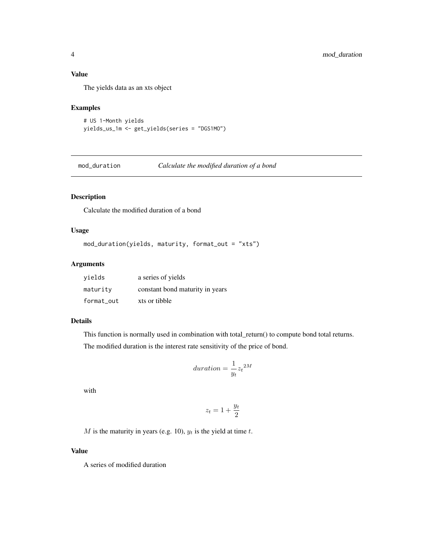#### <span id="page-3-0"></span>Value

The yields data as an xts object

#### Examples

```
# US 1-Month yields
yields_us_1m <- get_yields(series = "DGS1MO")
```
mod\_duration *Calculate the modified duration of a bond*

#### Description

Calculate the modified duration of a bond

#### Usage

```
mod_duration(yields, maturity, format_out = "xts")
```
#### Arguments

| vields     | a series of yields              |
|------------|---------------------------------|
| maturity   | constant bond maturity in years |
| format out | xts or tibble                   |

#### Details

This function is normally used in combination with total\_return() to compute bond total returns. The modified duration is the interest rate sensitivity of the price of bond.

$$
duration = \frac{1}{y_t} z_t^{2M}
$$

with

$$
z_t = 1 + \frac{y_t}{2}
$$

M is the maturity in years (e.g. 10),  $y_t$  is the yield at time t.

#### Value

A series of modified duration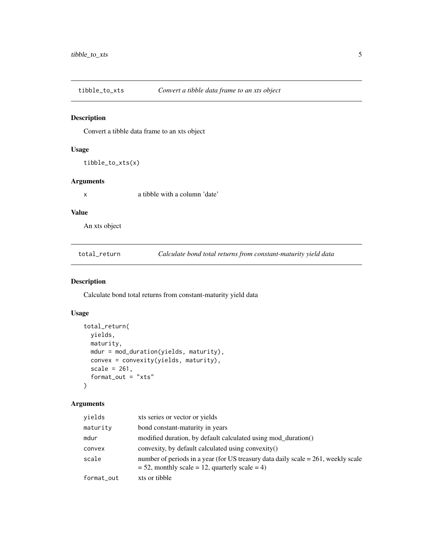<span id="page-4-0"></span>

Convert a tibble data frame to an xts object

### Usage

tibble\_to\_xts(x)

#### Arguments

x a tibble with a column 'date'

#### Value

An xts object

total\_return *Calculate bond total returns from constant-maturity yield data*

#### Description

Calculate bond total returns from constant-maturity yield data

#### Usage

```
total_return(
  yields,
 maturity,
 mdur = mod_duration(yields, maturity),
 convex = convexity(yields, maturity),
  scale = 261,
  format_out = "xts"
)
```
#### Arguments

| yields     | xts series or vector or yields                                                                                                                  |
|------------|-------------------------------------------------------------------------------------------------------------------------------------------------|
| maturity   | bond constant-maturity in years                                                                                                                 |
| mdur       | modified duration, by default calculated using mod_duration()                                                                                   |
| convex     | convexity, by default calculated using convexity()                                                                                              |
| scale      | number of periods in a year (for US treasury data daily scale $= 261$ , weekly scale<br>$= 52$ , monthly scale $= 12$ , quarterly scale $= 4$ ) |
| format_out | xts or tibble                                                                                                                                   |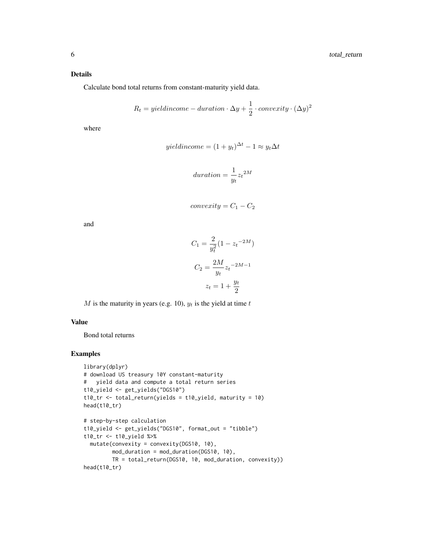#### Details

Calculate bond total returns from constant-maturity yield data.

$$
R_t = yield income - duration \cdot \Delta y + \frac{1}{2} \cdot convexity \cdot (\Delta y)^2
$$

where

$$
yieldincome = (1 + y_t)^{\Delta t} - 1 \approx y_t \Delta t
$$

$$
duration = \frac{1}{y_t} z_t^{2M}
$$

$$
convexity = C_1 - C_2
$$

and

$$
C_1 = \frac{2}{y_t^2} (1 - z_t^{-2M})
$$

$$
C_2 = \frac{2M}{y_t} z_t^{-2M-1}
$$

$$
z_t = 1 + \frac{y_t}{2}
$$

M is the maturity in years (e.g. 10),  $y_t$  is the yield at time t

#### Value

Bond total returns

#### Examples

```
library(dplyr)
# download US treasury 10Y constant-maturity
# yield data and compute a total return series
t10_yield <- get_yields("DGS10")
t10_tr <- total_return(yields = t10_yield, maturity = 10)
head(t10_tr)
# step-by-step calculation
t10_yield <- get_yields("DGS10", format_out = "tibble")
t10_tr <- t10_yield %>%
  mutate(convexity = convexity(DGS10, 10),
        mod_duration = mod_duration(DGS10, 10),
        TR = total_return(DGS10, 10, mod_duration, convexity))
head(t10_tr)
```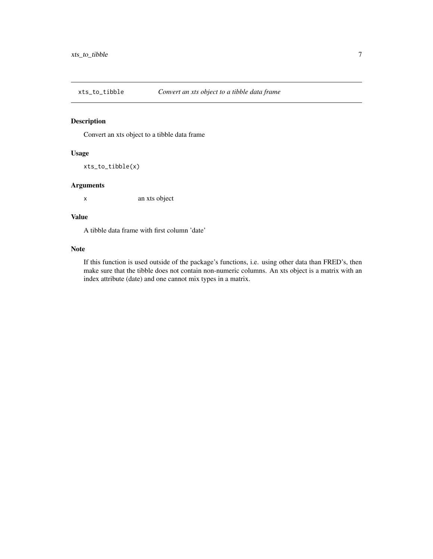<span id="page-6-0"></span>

Convert an xts object to a tibble data frame

#### Usage

xts\_to\_tibble(x)

#### Arguments

x an xts object

#### Value

A tibble data frame with first column 'date'

#### Note

If this function is used outside of the package's functions, i.e. using other data than FRED's, then make sure that the tibble does not contain non-numeric columns. An xts object is a matrix with an index attribute (date) and one cannot mix types in a matrix.